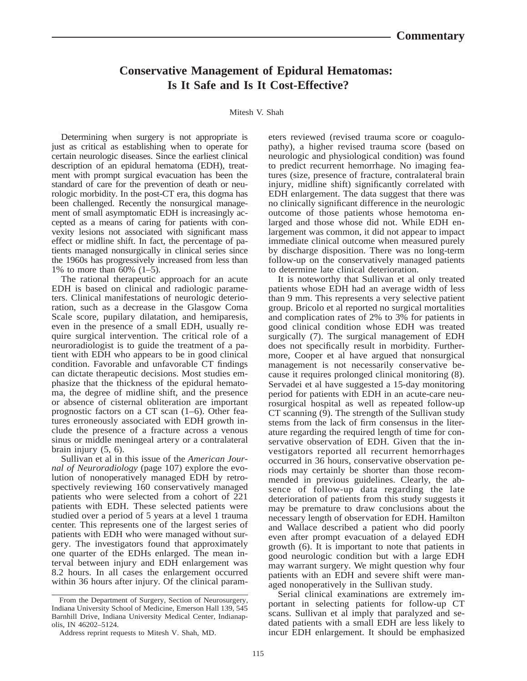## **Conservative Management of Epidural Hematomas: Is It Safe and Is It Cost-Effective?**

## Mitesh V. Shah

Determining when surgery is not appropriate is just as critical as establishing when to operate for certain neurologic diseases. Since the earliest clinical description of an epidural hematoma (EDH), treatment with prompt surgical evacuation has been the standard of care for the prevention of death or neurologic morbidity. In the post-CT era, this dogma has been challenged. Recently the nonsurgical management of small asymptomatic EDH is increasingly accepted as a means of caring for patients with convexity lesions not associated with significant mass effect or midline shift. In fact, the percentage of patients managed nonsurgically in clinical series since the 1960s has progressively increased from less than 1% to more than 60% (1–5).

The rational therapeutic approach for an acute EDH is based on clinical and radiologic parameters. Clinical manifestations of neurologic deterioration, such as a decrease in the Glasgow Coma Scale score, pupilary dilatation, and hemiparesis, even in the presence of a small EDH, usually require surgical intervention. The critical role of a neuroradiologist is to guide the treatment of a patient with EDH who appears to be in good clinical condition. Favorable and unfavorable CT findings can dictate therapeutic decisions. Most studies emphasize that the thickness of the epidural hematoma, the degree of midline shift, and the presence or absence of cisternal obliteration are important prognostic factors on a CT scan (1–6). Other features erroneously associated with EDH growth include the presence of a fracture across a venous sinus or middle meningeal artery or a contralateral brain injury (5, 6).

Sullivan et al in this issue of the *American Journal of Neuroradiology* (page 107) explore the evolution of nonoperatively managed EDH by retrospectively reviewing 160 conservatively managed patients who were selected from a cohort of 221 patients with EDH. These selected patients were studied over a period of 5 years at a level 1 trauma center. This represents one of the largest series of patients with EDH who were managed without surgery. The investigators found that approximately one quarter of the EDHs enlarged. The mean interval between injury and EDH enlargement was 8.2 hours. In all cases the enlargement occurred within 36 hours after injury. Of the clinical parameters reviewed (revised trauma score or coagulopathy), a higher revised trauma score (based on neurologic and physiological condition) was found to predict recurrent hemorrhage. No imaging features (size, presence of fracture, contralateral brain injury, midline shift) significantly correlated with EDH enlargement. The data suggest that there was no clinically significant difference in the neurologic outcome of those patients whose hemotoma enlarged and those whose did not. While EDH enlargement was common, it did not appear to impact immediate clinical outcome when measured purely by discharge disposition. There was no long-term follow-up on the conservatively managed patients to determine late clinical deterioration.

It is noteworthy that Sullivan et al only treated patients whose EDH had an average width of less than 9 mm. This represents a very selective patient group. Bricolo et al reported no surgical mortalities and complication rates of 2% to 3% for patients in good clinical condition whose EDH was treated surgically (7). The surgical management of EDH does not specifically result in morbidity. Furthermore, Cooper et al have argued that nonsurgical management is not necessarily conservative because it requires prolonged clinical monitoring (8). Servadei et al have suggested a 15-day monitoring period for patients with EDH in an acute-care neurosurgical hospital as well as repeated follow-up CT scanning (9). The strength of the Sullivan study stems from the lack of firm consensus in the literature regarding the required length of time for conservative observation of EDH. Given that the investigators reported all recurrent hemorrhages occurred in 36 hours, conservative observation periods may certainly be shorter than those recommended in previous guidelines. Clearly, the absence of follow-up data regarding the late deterioration of patients from this study suggests it may be premature to draw conclusions about the necessary length of observation for EDH. Hamilton and Wallace described a patient who did poorly even after prompt evacuation of a delayed EDH growth (6). It is important to note that patients in good neurologic condition but with a large EDH may warrant surgery. We might question why four patients with an EDH and severe shift were managed nonoperatively in the Sullivan study.

Serial clinical examinations are extremely important in selecting patients for follow-up CT scans. Sullivan et al imply that paralyzed and sedated patients with a small EDH are less likely to incur EDH enlargement. It should be emphasized

From the Department of Surgery, Section of Neurosurgery, Indiana University School of Medicine, Emerson Hall 139, 545 Barnhill Drive, Indiana University Medical Center, Indianapolis, IN 46202–5124.

Address reprint requests to Mitesh V. Shah, MD.